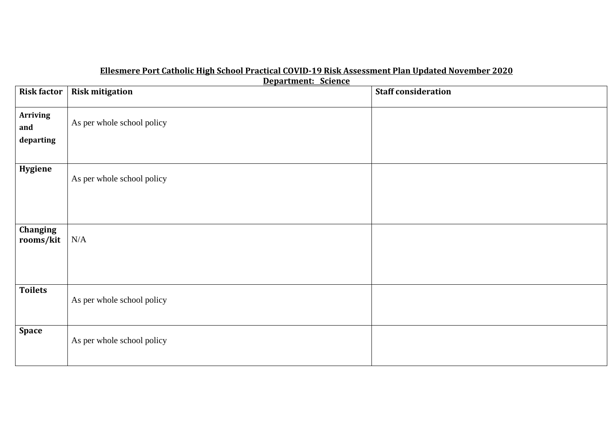## **Ellesmere Port Catholic High School Practical COVID-19 Risk Assessment Plan Updated November 2020**

**Department: Science** 

|                    | <u> Departmenti belefice</u> |                            |
|--------------------|------------------------------|----------------------------|
| <b>Risk factor</b> | <b>Risk mitigation</b>       | <b>Staff consideration</b> |
|                    |                              |                            |
| <b>Arriving</b>    |                              |                            |
|                    | As per whole school policy   |                            |
| and                |                              |                            |
| departing          |                              |                            |
|                    |                              |                            |
|                    |                              |                            |
|                    |                              |                            |
| Hygiene            |                              |                            |
|                    | As per whole school policy   |                            |
|                    |                              |                            |
|                    |                              |                            |
|                    |                              |                            |
|                    |                              |                            |
| Changing           |                              |                            |
| rooms/kit          | $\rm N/A$                    |                            |
|                    |                              |                            |
|                    |                              |                            |
|                    |                              |                            |
|                    |                              |                            |
|                    |                              |                            |
| <b>Toilets</b>     |                              |                            |
|                    | As per whole school policy   |                            |
|                    |                              |                            |
|                    |                              |                            |
| <b>Space</b>       |                              |                            |
|                    |                              |                            |
|                    | As per whole school policy   |                            |
|                    |                              |                            |
|                    |                              |                            |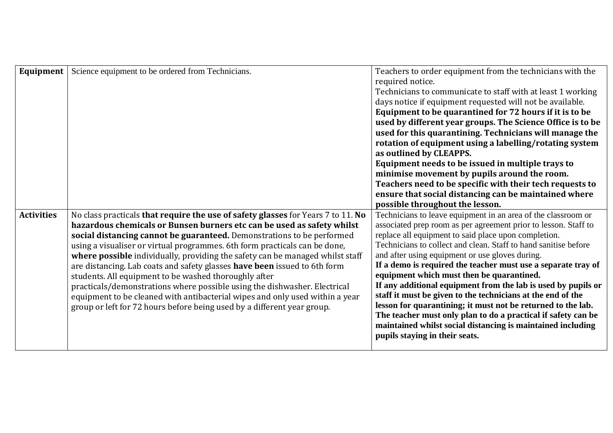| Equipment         | Science equipment to be ordered from Technicians.                                | Teachers to order equipment from the technicians with the       |
|-------------------|----------------------------------------------------------------------------------|-----------------------------------------------------------------|
|                   |                                                                                  | required notice.                                                |
|                   |                                                                                  | Technicians to communicate to staff with at least 1 working     |
|                   |                                                                                  | days notice if equipment requested will not be available.       |
|                   |                                                                                  | Equipment to be quarantined for 72 hours if it is to be         |
|                   |                                                                                  | used by different year groups. The Science Office is to be      |
|                   |                                                                                  | used for this quarantining. Technicians will manage the         |
|                   |                                                                                  | rotation of equipment using a labelling/rotating system         |
|                   |                                                                                  | as outlined by CLEAPPS.                                         |
|                   |                                                                                  | Equipment needs to be issued in multiple trays to               |
|                   |                                                                                  | minimise movement by pupils around the room.                    |
|                   |                                                                                  | Teachers need to be specific with their tech requests to        |
|                   |                                                                                  | ensure that social distancing can be maintained where           |
|                   |                                                                                  | possible throughout the lesson.                                 |
| <b>Activities</b> | No class practicals that require the use of safety glasses for Years 7 to 11. No | Technicians to leave equipment in an area of the classroom or   |
|                   | hazardous chemicals or Bunsen burners etc can be used as safety whilst           | associated prep room as per agreement prior to lesson. Staff to |
|                   | social distancing cannot be guaranteed. Demonstrations to be performed           | replace all equipment to said place upon completion.            |
|                   | using a visualiser or virtual programmes. 6th form practicals can be done,       | Technicians to collect and clean. Staff to hand sanitise before |
|                   | where possible individually, providing the safety can be managed whilst staff    | and after using equipment or use gloves during.                 |
|                   | are distancing. Lab coats and safety glasses have been issued to 6th form        | If a demo is required the teacher must use a separate tray of   |
|                   | students. All equipment to be washed thoroughly after                            | equipment which must then be quarantined.                       |
|                   | practicals/demonstrations where possible using the dishwasher. Electrical        | If any additional equipment from the lab is used by pupils or   |
|                   | equipment to be cleaned with antibacterial wipes and only used within a year     | staff it must be given to the technicians at the end of the     |
|                   | group or left for 72 hours before being used by a different year group.          | lesson for quarantining; it must not be returned to the lab.    |
|                   |                                                                                  | The teacher must only plan to do a practical if safety can be   |
|                   |                                                                                  | maintained whilst social distancing is maintained including     |
|                   |                                                                                  | pupils staying in their seats.                                  |
|                   |                                                                                  |                                                                 |